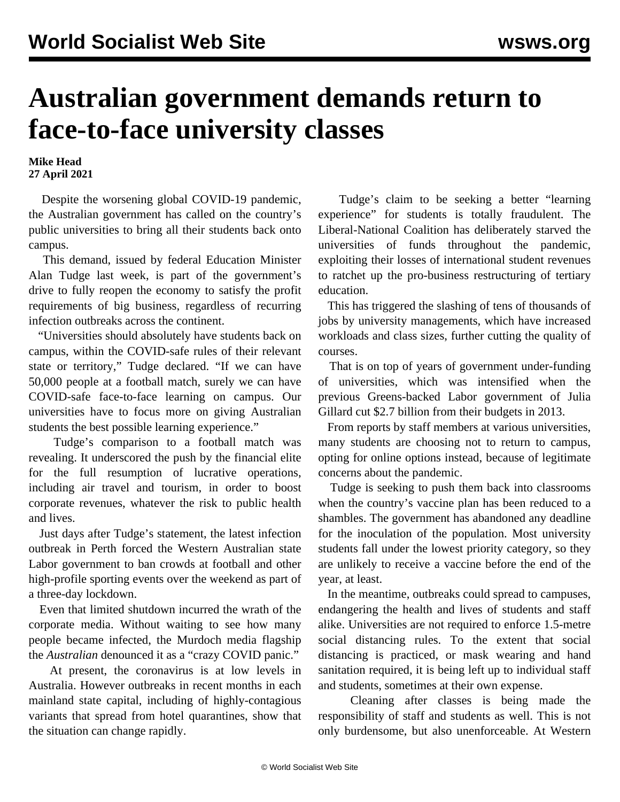## **Australian government demands return to face-to-face university classes**

**Mike Head 27 April 2021**

 Despite the worsening global COVID-19 pandemic, the Australian government has called on the country's public universities to bring all their students back onto campus.

 This demand, issued by federal Education Minister Alan Tudge last week, is part of the government's drive to fully reopen the economy to satisfy the profit requirements of big business, regardless of recurring infection outbreaks across the continent.

 "Universities should absolutely have students back on campus, within the COVID-safe rules of their relevant state or territory," Tudge declared. "If we can have 50,000 people at a football match, surely we can have COVID-safe face-to-face learning on campus. Our universities have to focus more on giving Australian students the best possible learning experience."

 Tudge's comparison to a football match was revealing. It underscored the push by the financial elite for the full resumption of lucrative operations, including air travel and tourism, in order to boost corporate revenues, whatever the risk to public health and lives.

 Just days after Tudge's statement, the latest infection outbreak in Perth forced the Western Australian state Labor government to ban crowds at football and other high-profile sporting events over the weekend as part of a three-day lockdown.

 Even that limited shutdown incurred the wrath of the corporate media. Without waiting to see how many people became infected, the Murdoch media flagship the *Australian* denounced it as a "crazy COVID panic."

 At present, the coronavirus is at low levels in Australia. However outbreaks in recent months in each mainland state capital, including of highly-contagious variants that spread from hotel quarantines, show that the situation can change rapidly.

 Tudge's claim to be seeking a better "learning experience" for students is totally fraudulent. The Liberal-National Coalition has deliberately starved the universities of funds throughout the pandemic, exploiting their losses of international student revenues to ratchet up the pro-business restructuring of tertiary education.

 This has triggered the slashing of tens of thousands of jobs by university managements, which have increased workloads and class sizes, further cutting the quality of courses.

 That is on top of years of government under-funding of universities, which was intensified when the previous Greens-backed Labor government of Julia Gillard cut \$2.7 billion from their budgets in 2013.

 From reports by staff members at various universities, many students are choosing not to return to campus, opting for online options instead, because of legitimate concerns about the pandemic.

 Tudge is seeking to push them back into classrooms when the country's vaccine plan has been reduced to a shambles. The government has abandoned any deadline for the inoculation of the population. Most university students fall under the lowest priority category, so they are unlikely to receive a vaccine before the end of the year, at least.

 In the meantime, outbreaks could spread to campuses, endangering the health and lives of students and staff alike. Universities are not required to enforce 1.5-metre social distancing rules. To the extent that social distancing is practiced, or mask wearing and hand sanitation required, it is being left up to individual staff and students, sometimes at their own expense.

 Cleaning after classes is being made the responsibility of staff and students as well. This is not only burdensome, but also unenforceable. At Western